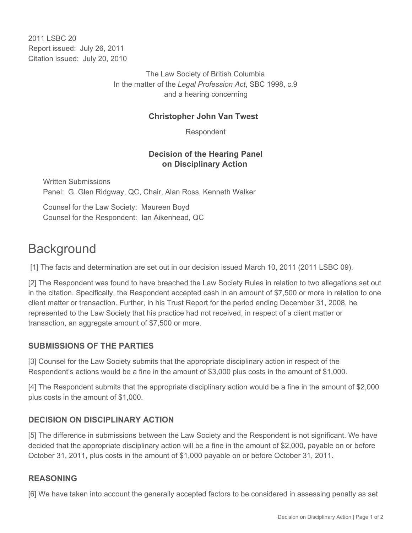2011 I SBC 20 Report issued: July 26, 2011 Citation issued: July 20, 2010

> The Law Society of British Columbia In the matter of the *Legal Profession Act*, SBC 1998, c.9 and a hearing concerning

## **Christopher John Van Twest**

Respondent

## **Decision of the Hearing Panel on Disciplinary Action**

Written Submissions Panel: G. Glen Ridgway, QC, Chair, Alan Ross, Kenneth Walker

Counsel for the Law Society: Maureen Boyd Counsel for the Respondent: Ian Aikenhead, QC

# **Background**

[1] The facts and determination are set out in our decision issued March 10, 2011 (2011 LSBC 09).

[2] The Respondent was found to have breached the Law Society Rules in relation to two allegations set out in the citation. Specifically, the Respondent accepted cash in an amount of \$7,500 or more in relation to one client matter or transaction. Further, in his Trust Report for the period ending December 31, 2008, he represented to the Law Society that his practice had not received, in respect of a client matter or transaction, an aggregate amount of \$7,500 or more.

## **SUBMISSIONS OF THE PARTIES**

[3] Counsel for the Law Society submits that the appropriate disciplinary action in respect of the Respondent's actions would be a fine in the amount of \$3,000 plus costs in the amount of \$1,000.

[4] The Respondent submits that the appropriate disciplinary action would be a fine in the amount of \$2,000 plus costs in the amount of \$1,000.

## **DECISION ON DISCIPLINARY ACTION**

[5] The difference in submissions between the Law Society and the Respondent is not significant. We have decided that the appropriate disciplinary action will be a fine in the amount of \$2,000, payable on or before October 31, 2011, plus costs in the amount of \$1,000 payable on or before October 31, 2011.

## **REASONING**

[6] We have taken into account the generally accepted factors to be considered in assessing penalty as set